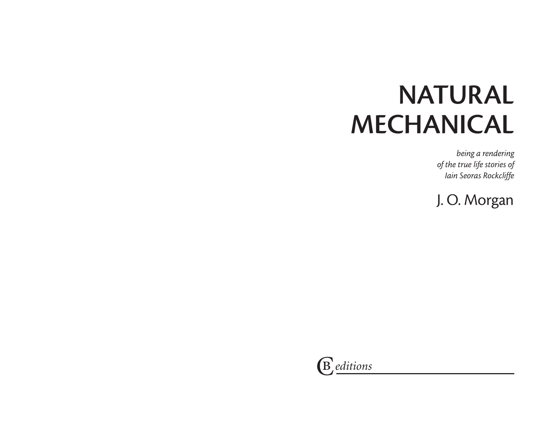## NATURAL MECHANICAL

*being a rendering of the true life stories of Iain Seoras Rockcliffe*

J. O. Morgan

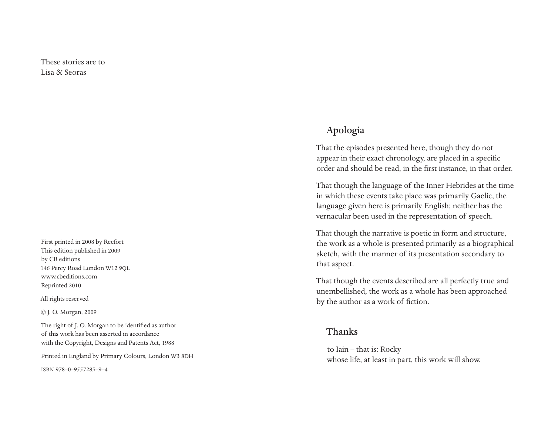These stories are to Lisa & Seoras

First printed in 2008 by Reefort This edition published in 2009 by CB editions 146 Percy Road London W12 9QL www.cbeditions.com Reprinted 2010

All rights reserved

© J. O. Morgan, 2009

The right of J. O. Morgan to be identified as author of this work has been asserted in accordance with the Copyright, Designs and Patents Act, 1988

Printed in England by Primary Colours, London W3 8DH

ISBN 978–0–9557285–9–4

## Apologia

That the episodes presented here, though they do not appear in their exact chronology, are placed in a specific order and should be read, in the first instance, in that order.

That though the language of the Inner Hebrides at the time in which these events take place was primarily Gaelic, the language given here is primarily English; neither has the vernacular been used in the representation of speech.

That though the narrative is poetic in form and structure, the work as a whole is presented primarily as a biographical sketch, with the manner of its presentation secondary to that aspect.

That though the events described are all perfectly true and unembellished, the work as a whole has been approached by the author as a work of fiction.

## Thanks

to Iain – that is: Rocky whose life, at least in part, this work will show.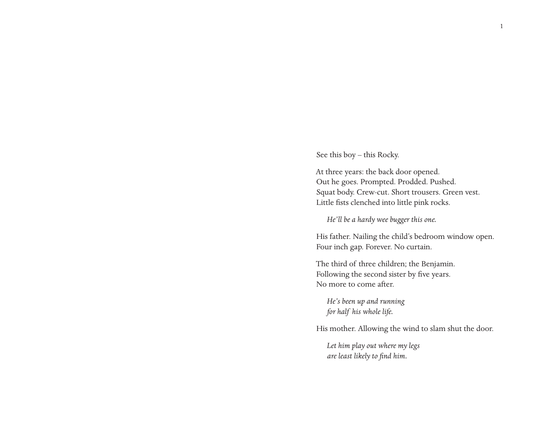See this boy – this Rocky.

At three years: the back door opened. Out he goes. Prompted. Prodded. Pushed. Squat body. Crew-cut. Short trousers. Green vest. Little fists clenched into little pink rocks.

*He'll be a hardy wee bugger this one.*

His father. Nailing the child's bedroom window open. Four inch gap. Forever. No curtain.

The third of three children; the Benjamin. Following the second sister by five years. No more to come after.

*He's been up and running for half his whole life.*

His mother. Allowing the wind to slam shut the door.

*Let him play out where my legs are least likely to find him.*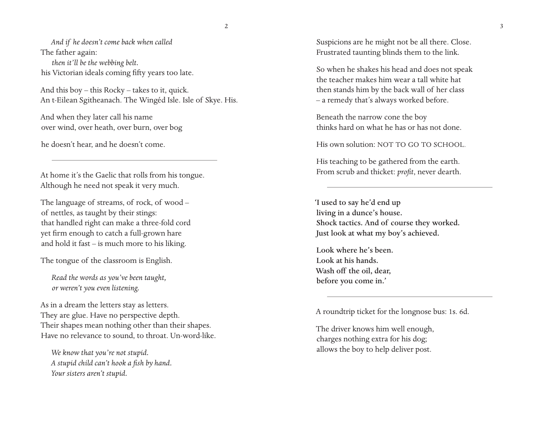*And if he doesn't come back when called* The father again: *then it'll be the webbing belt.* his Victorian ideals coming fifty years too late.

And this boy – this Rocky – takes to it, quick. An t-Eilean Sgitheanach. The Wingéd Isle. Isle of Skye. His.

And when they later call his name over wind, over heath, over burn, over bog

he doesn't hear, and he doesn't come.

At home it's the Gaelic that rolls from his tongue. Although he need not speak it very much.

The language of streams, of rock, of wood – of nettles, as taught by their stings: that handled right can make a three-fold cord yet firm enough to catch a full-grown hare and hold it fast – is much more to his liking.

The tongue of the classroom is English.

*Read the words as you've been taught, or weren't you even listening.*

As in a dream the letters stay as letters. They are glue. Have no perspective depth. Their shapes mean nothing other than their shapes. Have no relevance to sound, to throat. Un-word-like.

*We know that you're not stupid. A stupid child can't hook a fish by hand. Your sisters aren't stupid.*

Suspicions are he might not be all there. Close. Frustrated taunting blinds them to the link.

So when he shakes his head and does not speak the teacher makes him wear a tall white hat then stands him by the back wall of her class – a remedy that's always worked before.

Beneath the narrow cone the boy thinks hard on what he has or has not done.

His own solution: NOT TO GO TO SCHOOL.

His teaching to be gathered from the earth. From scrub and thicket: *profit*, never dearth.

'I used to say he'd end up living in a dunce's house. Shock tactics. And of course they worked. Just look at what my boy's achieved.

Look where he's been. Look at his hands. Wash off the oil, dear, before you come in.'

A roundtrip ticket for the longnose bus: 1s. 6d.

The driver knows him well enough, charges nothing extra for his dog; allows the boy to help deliver post.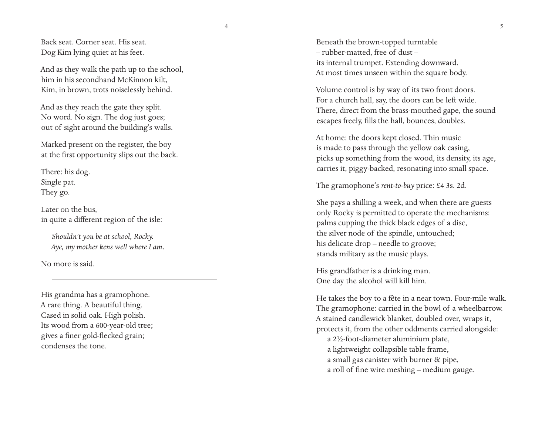Back seat. Corner seat. His seat. Dog Kim lying quiet at his feet.

And as they walk the path up to the school, him in his secondhand McKinnon kilt, Kim, in brown, trots noiselessly behind.

And as they reach the gate they split. No word. No sign. The dog just goes; out of sight around the building's walls.

Marked present on the register, the boy at the first opportunity slips out the back.

There: his dog. Single pat. They go.

Later on the bus, in quite a different region of the isle:

*Shouldn't you be at school, Rocky. Aye, my mother kens well where I am.*

No more is said.

His grandma has a gramophone. A rare thing. A beautiful thing. Cased in solid oak. High polish. Its wood from a 600-year-old tree; gives a finer gold-flecked grain; condenses the tone.

Beneath the brown-topped turntable – rubber-matted, free of dust – its internal trumpet. Extending downward. At most times unseen within the square body.

Volume control is by way of its two front doors. For a church hall, say, the doors can be left wide. There, direct from the brass-mouthed gape, the sound escapes freely, fills the hall, bounces, doubles.

At home: the doors kept closed. Thin music is made to pass through the yellow oak casing, picks up something from the wood, its density, its age, carries it, piggy-backed, resonating into small space.

The gramophone's *rent-to-buy* price: £4 3s. 2d.

She pays a shilling a week, and when there are guests only Rocky is permitted to operate the mechanisms: palms cupping the thick black edges of a disc, the silver node of the spindle, untouched; his delicate drop – needle to groove; stands military as the music plays.

His grandfather is a drinking man. One day the alcohol will kill him.

He takes the boy to a fête in a near town. Four-mile walk. The gramophone: carried in the bowl of a wheelbarrow. A stained candlewick blanket, doubled over, wraps it, protects it, from the other oddments carried alongside:

a 2½-foot-diameter aluminium plate,

a lightweight collapsible table frame,

a small gas canister with burner & pipe,

a roll of fine wire meshing – medium gauge.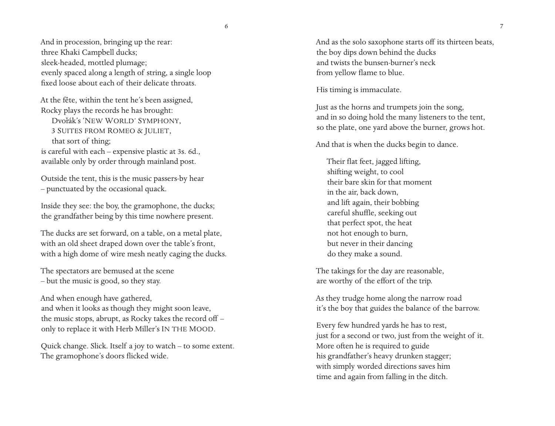And in procession, bringing up the rear: three Khaki Campbell ducks; sleek-headed, mottled plumage; evenly spaced along a length of string, a single loop fixed loose about each of their delicate throats.

At the fête, within the tent he's been assigned, Rocky plays the records he has brought: Dvořák's 'NEW WORLD' SYMPHONY,

3 SUITES FROM ROMEO & JULIET, that sort of thing; is careful with each – expensive plastic at 3s. 6d., available only by order through mainland post.

Outside the tent, this is the music passers-by hear – punctuated by the occasional quack.

Inside they see: the boy, the gramophone, the ducks; the grandfather being by this time nowhere present.

The ducks are set forward, on a table, on a metal plate, with an old sheet draped down over the table's front, with a high dome of wire mesh neatly caging the ducks.

The spectators are bemused at the scene – but the music is good, so they stay.

And when enough have gathered, and when it looks as though they might soon leave, the music stops, abrupt, as Rocky takes the record off – only to replace it with Herb Miller's IN THE MOOD.

Quick change. Slick. Itself a joy to watch – to some extent. The gramophone's doors flicked wide.

And as the solo saxophone starts off its thirteen beats, the boy dips down behind the ducks and twists the bunsen-burner's neck from yellow flame to blue.

His timing is immaculate.

Just as the horns and trumpets join the song, and in so doing hold the many listeners to the tent, so the plate, one yard above the burner, grows hot.

And that is when the ducks begin to dance.

Their flat feet, jagged lifting, shifting weight, to cool their bare skin for that moment in the air, back down, and lift again, their bobbing careful shuffle, seeking out that perfect spot, the heat not hot enough to burn, but never in their dancing do they make a sound.

The takings for the day are reasonable, are worthy of the effort of the trip.

As they trudge home along the narrow road it's the boy that guides the balance of the barrow.

Every few hundred yards he has to rest, just for a second or two, just from the weight of it. More often he is required to guide his grandfather's heavy drunken stagger; with simply worded directions saves him time and again from falling in the ditch.